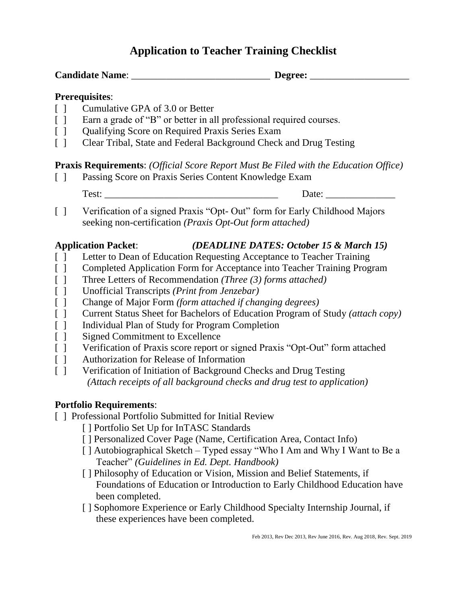# **Application to Teacher Training Checklist**

#### **Prerequisites**:

- [ ] Cumulative GPA of 3.0 or Better
- [ ] Earn a grade of "B" or better in all professional required courses.
- [ ] Qualifying Score on Required Praxis Series Exam
- [ ] Clear Tribal, State and Federal Background Check and Drug Testing

#### **Praxis Requirements**: *(Official Score Report Must Be Filed with the Education Office)*

[ ] Passing Score on Praxis Series Content Knowledge Exam

| ___ |  |
|-----|--|

[ ] Verification of a signed Praxis "Opt- Out" form for Early Childhood Majors seeking non-certification *(Praxis Opt-Out form attached)*

### **Application Packet**: *(DEADLINE DATES: October 15 & March 15)*

- [ ] Letter to Dean of Education Requesting Acceptance to Teacher Training
- [ ] Completed Application Form for Acceptance into Teacher Training Program
- [ ] Three Letters of Recommendation *(Three (3) forms attached)*
- [ ] Unofficial Transcripts *(Print from Jenzebar)*
- [ ] Change of Major Form *(form attached if changing degrees)*
- [ ] Current Status Sheet for Bachelors of Education Program of Study *(attach copy)*
- [ ] Individual Plan of Study for Program Completion
- [ ] Signed Commitment to Excellence
- [ ] Verification of Praxis score report or signed Praxis "Opt-Out" form attached
- [ ] Authorization for Release of Information
- [ ] Verification of Initiation of Background Checks and Drug Testing *(Attach receipts of all background checks and drug test to application)*

### **Portfolio Requirements**:

- [ ] Professional Portfolio Submitted for Initial Review
	- [ ] Portfolio Set Up for InTASC Standards
	- [ ] Personalized Cover Page (Name, Certification Area, Contact Info)
	- [] Autobiographical Sketch Typed essay "Who I Am and Why I Want to Be a Teacher" *(Guidelines in Ed. Dept. Handbook)*
	- [ ] Philosophy of Education or Vision, Mission and Belief Statements, if Foundations of Education or Introduction to Early Childhood Education have been completed.
	- [ ] Sophomore Experience or Early Childhood Specialty Internship Journal, if these experiences have been completed.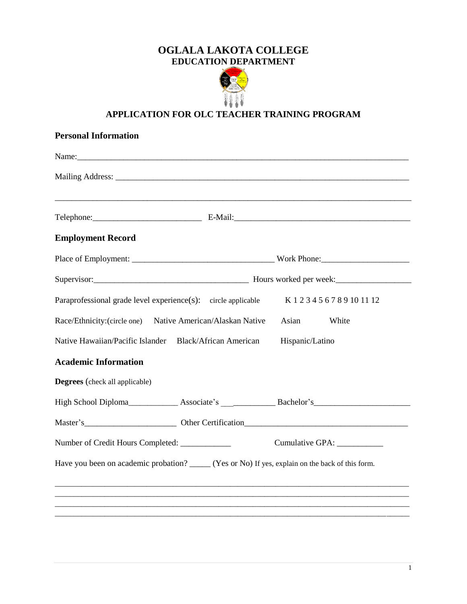## **OGLALA LAKOTA COLLEGE EDUCATION DEPARTMENT**



## **APPLICATION FOR OLC TEACHER TRAINING PROGRAM**

| <b>Personal Information</b>                                                                       |                              |
|---------------------------------------------------------------------------------------------------|------------------------------|
|                                                                                                   |                              |
|                                                                                                   |                              |
|                                                                                                   |                              |
|                                                                                                   |                              |
| <b>Employment Record</b>                                                                          |                              |
|                                                                                                   |                              |
|                                                                                                   |                              |
| Paraprofessional grade level experience(s): circle applicable                                     | K123456789101112             |
| Race/Ethnicity:(circle one) Native American/Alaskan Native                                        | Asian<br>White               |
| Native Hawaiian/Pacific Islander Black/African American                                           | Hispanic/Latino              |
| <b>Academic Information</b>                                                                       |                              |
| <b>Degrees</b> (check all applicable)                                                             |                              |
|                                                                                                   |                              |
|                                                                                                   |                              |
| Number of Credit Hours Completed: ___________                                                     | Cumulative GPA: ____________ |
| Have you been on academic probation? ______ (Yes or No) If yes, explain on the back of this form. |                              |
|                                                                                                   |                              |
|                                                                                                   |                              |
|                                                                                                   |                              |
|                                                                                                   |                              |

1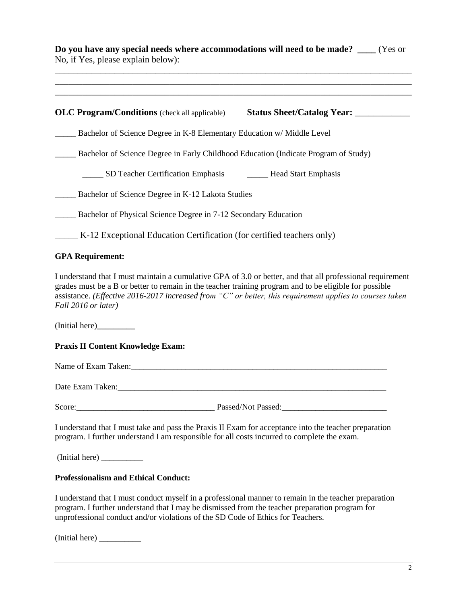**Do you have any special needs where accommodations will need to be made? \_\_\_\_** (Yes or No, if Yes, please explain below): \_\_\_\_\_\_\_\_\_\_\_\_\_\_\_\_\_\_\_\_\_\_\_\_\_\_\_\_\_\_\_\_\_\_\_\_\_\_\_\_\_\_\_\_\_\_\_\_\_\_\_\_\_\_\_\_\_\_\_\_\_\_\_\_\_\_\_\_\_\_\_\_\_\_\_\_\_\_ \_\_\_\_\_\_\_\_\_\_\_\_\_\_\_\_\_\_\_\_\_\_\_\_\_\_\_\_\_\_\_\_\_\_\_\_\_\_\_\_\_\_\_\_\_\_\_\_\_\_\_\_\_\_\_\_\_\_\_\_\_\_\_\_\_\_\_\_\_\_\_\_\_\_\_\_\_\_ \_\_\_\_\_\_\_\_\_\_\_\_\_\_\_\_\_\_\_\_\_\_\_\_\_\_\_\_\_\_\_\_\_\_\_\_\_\_\_\_\_\_\_\_\_\_\_\_\_\_\_\_\_\_\_\_\_\_\_\_\_\_\_\_\_\_\_\_\_\_\_\_\_\_\_\_\_\_ **OLC Program/Conditions** (check all applicable) **Status Sheet/Catalog Year:** \_\_\_\_\_\_\_\_\_\_\_\_ \_\_\_\_\_ Bachelor of Science Degree in K-8 Elementary Education w/ Middle Level \_\_\_\_\_ Bachelor of Science Degree in Early Childhood Education (Indicate Program of Study) \_\_\_\_\_ SD Teacher Certification Emphasis \_\_\_\_\_ Head Start Emphasis Bachelor of Science Degree in K-12 Lakota Studies Bachelor of Physical Science Degree in 7-12 Secondary Education \_\_\_\_\_ K-12 Exceptional Education Certification (for certified teachers only) **GPA Requirement:** I understand that I must maintain a cumulative GPA of 3.0 or better, and that all professional requirement grades must be a B or better to remain in the teacher training program and to be eligible for possible assistance. *(Effective 2016-2017 increased from "C" or better, this requirement applies to courses taken Fall 2016 or later)* (Initial here)**\_\_\_\_\_\_\_\_\_ Praxis II Content Knowledge Exam:**  Name of Exam Taken: Date Exam Taken: Score: The Passed/Not Passed: I understand that I must take and pass the Praxis II Exam for acceptance into the teacher preparation program. I further understand I am responsible for all costs incurred to complete the exam. (Initial here) \_\_\_\_\_\_\_\_\_\_ **Professionalism and Ethical Conduct:**

I understand that I must conduct myself in a professional manner to remain in the teacher preparation program. I further understand that I may be dismissed from the teacher preparation program for unprofessional conduct and/or violations of the SD Code of Ethics for Teachers.

(Initial here) \_\_\_\_\_\_\_\_\_\_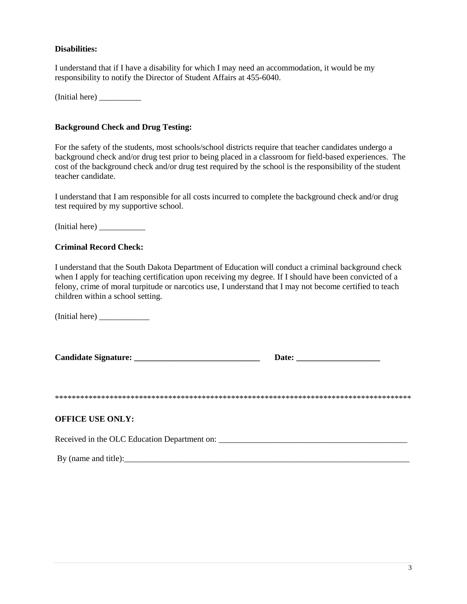#### **Disabilities:**

I understand that if I have a disability for which I may need an accommodation, it would be my responsibility to notify the Director of Student Affairs at 455-6040.

(Initial here) \_\_\_\_\_\_\_\_\_\_

#### **Background Check and Drug Testing:**

For the safety of the students, most schools/school districts require that teacher candidates undergo a background check and/or drug test prior to being placed in a classroom for field-based experiences. The cost of the background check and/or drug test required by the school is the responsibility of the student teacher candidate.

I understand that I am responsible for all costs incurred to complete the background check and/or drug test required by my supportive school.

(Initial here) \_\_\_\_\_\_\_\_\_\_\_

#### **Criminal Record Check:**

I understand that the South Dakota Department of Education will conduct a criminal background check when I apply for teaching certification upon receiving my degree. If I should have been convicted of a felony, crime of moral turpitude or narcotics use, I understand that I may not become certified to teach children within a school setting.

(Initial here) \_\_\_\_\_\_\_\_\_\_\_\_

| <b>Candidate Signature:</b> | <b>Date:</b> |
|-----------------------------|--------------|
|-----------------------------|--------------|

\*\*\*\*\*\*\*\*\*\*\*\*\*\*\*\*\*\*\*\*\*\*\*\*\*\*\*\*\*\*\*\*\*\*\*\*\*\*\*\*\*\*\*\*\*\*\*\*\*\*\*\*\*\*\*\*\*\*\*\*\*\*\*\*\*\*\*\*\*\*\*\*\*\*\*\*\*\*\*\*\*\*\*\*\*

#### **OFFICE USE ONLY:**

Received in the OLC Education Department on: \_\_\_\_\_\_\_\_\_\_\_\_\_\_\_\_\_\_\_\_\_\_\_\_\_\_\_\_\_\_\_\_\_\_\_\_\_\_\_\_\_\_\_\_\_

By (name and title):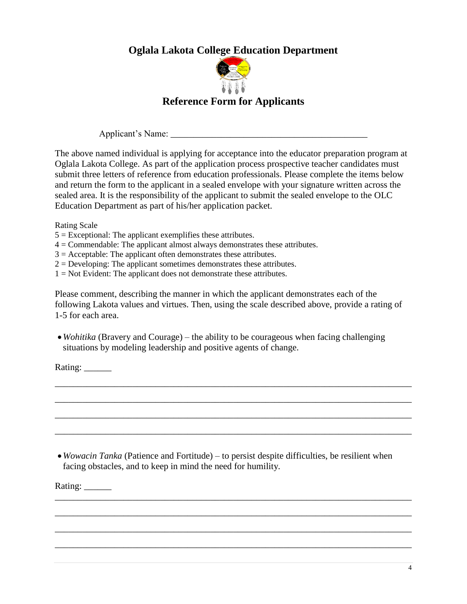# **Oglala Lakota College Education Department**



# **Reference Form for Applicants**

Applicant's Name: \_\_\_\_\_\_\_\_\_\_\_\_\_\_\_\_\_\_\_\_\_\_\_\_\_\_\_\_\_\_\_\_\_\_\_\_\_\_\_\_\_\_\_

The above named individual is applying for acceptance into the educator preparation program at Oglala Lakota College. As part of the application process prospective teacher candidates must submit three letters of reference from education professionals. Please complete the items below and return the form to the applicant in a sealed envelope with your signature written across the sealed area. It is the responsibility of the applicant to submit the sealed envelope to the OLC Education Department as part of his/her application packet.

Rating Scale

 $5 =$  Exceptional: The applicant exemplifies these attributes.

 $4 =$ Commendable: The applicant almost always demonstrates these attributes.

 $3 =$  Acceptable: The applicant often demonstrates these attributes.

 $2 =$  Developing: The applicant sometimes demonstrates these attributes.

 $1 = Not Evolution: The application does not demonstrate these attributes.$ 

Please comment, describing the manner in which the applicant demonstrates each of the following Lakota values and virtues. Then, using the scale described above, provide a rating of 1-5 for each area.

\_\_\_\_\_\_\_\_\_\_\_\_\_\_\_\_\_\_\_\_\_\_\_\_\_\_\_\_\_\_\_\_\_\_\_\_\_\_\_\_\_\_\_\_\_\_\_\_\_\_\_\_\_\_\_\_\_\_\_\_\_\_\_\_\_\_\_\_\_\_\_\_\_\_\_\_\_\_

\_\_\_\_\_\_\_\_\_\_\_\_\_\_\_\_\_\_\_\_\_\_\_\_\_\_\_\_\_\_\_\_\_\_\_\_\_\_\_\_\_\_\_\_\_\_\_\_\_\_\_\_\_\_\_\_\_\_\_\_\_\_\_\_\_\_\_\_\_\_\_\_\_\_\_\_\_\_

\_\_\_\_\_\_\_\_\_\_\_\_\_\_\_\_\_\_\_\_\_\_\_\_\_\_\_\_\_\_\_\_\_\_\_\_\_\_\_\_\_\_\_\_\_\_\_\_\_\_\_\_\_\_\_\_\_\_\_\_\_\_\_\_\_\_\_\_\_\_\_\_\_\_\_\_\_\_

\_\_\_\_\_\_\_\_\_\_\_\_\_\_\_\_\_\_\_\_\_\_\_\_\_\_\_\_\_\_\_\_\_\_\_\_\_\_\_\_\_\_\_\_\_\_\_\_\_\_\_\_\_\_\_\_\_\_\_\_\_\_\_\_\_\_\_\_\_\_\_\_\_\_\_\_\_\_

\_\_\_\_\_\_\_\_\_\_\_\_\_\_\_\_\_\_\_\_\_\_\_\_\_\_\_\_\_\_\_\_\_\_\_\_\_\_\_\_\_\_\_\_\_\_\_\_\_\_\_\_\_\_\_\_\_\_\_\_\_\_\_\_\_\_\_\_\_\_\_\_\_\_\_\_\_\_

\_\_\_\_\_\_\_\_\_\_\_\_\_\_\_\_\_\_\_\_\_\_\_\_\_\_\_\_\_\_\_\_\_\_\_\_\_\_\_\_\_\_\_\_\_\_\_\_\_\_\_\_\_\_\_\_\_\_\_\_\_\_\_\_\_\_\_\_\_\_\_\_\_\_\_\_\_\_

\_\_\_\_\_\_\_\_\_\_\_\_\_\_\_\_\_\_\_\_\_\_\_\_\_\_\_\_\_\_\_\_\_\_\_\_\_\_\_\_\_\_\_\_\_\_\_\_\_\_\_\_\_\_\_\_\_\_\_\_\_\_\_\_\_\_\_\_\_\_\_\_\_\_\_\_\_\_

\_\_\_\_\_\_\_\_\_\_\_\_\_\_\_\_\_\_\_\_\_\_\_\_\_\_\_\_\_\_\_\_\_\_\_\_\_\_\_\_\_\_\_\_\_\_\_\_\_\_\_\_\_\_\_\_\_\_\_\_\_\_\_\_\_\_\_\_\_\_\_\_\_\_\_\_\_\_

 *Wohitika* (Bravery and Courage) – the ability to be courageous when facing challenging situations by modeling leadership and positive agents of change.

Rating: \_\_\_\_\_\_\_\_

 *Wowacin Tanka* (Patience and Fortitude) – to persist despite difficulties, be resilient when facing obstacles, and to keep in mind the need for humility.

Rating: \_\_\_\_\_\_\_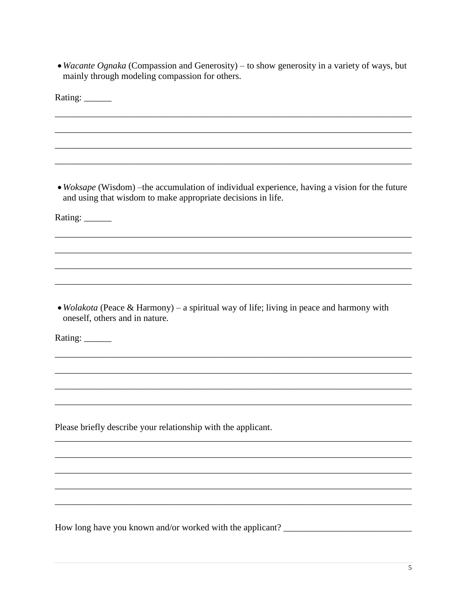• *Wacante Ognaka* (Compassion and Generosity) – to show generosity in a variety of ways, but mainly through modeling compassion for others.

| Rating: ______                                                                                                                                                 |
|----------------------------------------------------------------------------------------------------------------------------------------------------------------|
|                                                                                                                                                                |
|                                                                                                                                                                |
|                                                                                                                                                                |
| • Woksape (Wisdom) – the accumulation of individual experience, having a vision for the future<br>and using that wisdom to make appropriate decisions in life. |
| Rating: ______                                                                                                                                                 |
|                                                                                                                                                                |
|                                                                                                                                                                |
|                                                                                                                                                                |
| • Wolakota (Peace & Harmony) – a spiritual way of life; living in peace and harmony with<br>oneself, others and in nature.<br>Rating: ______                   |
|                                                                                                                                                                |
|                                                                                                                                                                |
|                                                                                                                                                                |
| Please briefly describe your relationship with the applicant.                                                                                                  |
|                                                                                                                                                                |
|                                                                                                                                                                |
|                                                                                                                                                                |
|                                                                                                                                                                |
| How long have you known and/or worked with the applicant? _______________________                                                                              |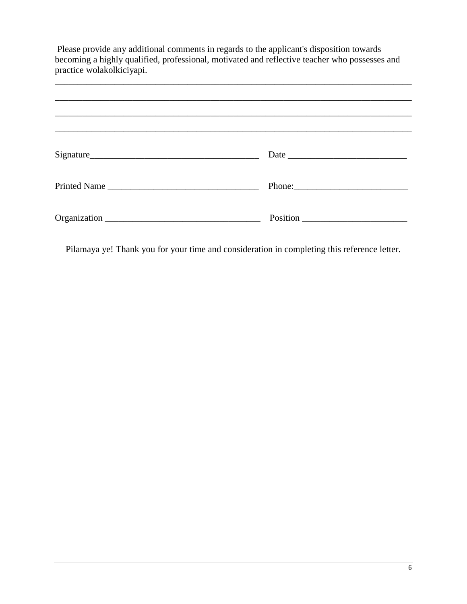| Please provide any additional comments in regards to the applicant's disposition towards<br>becoming a highly qualified, professional, motivated and reflective teacher who possesses and<br>practice wolakolkiciyapi. |  |  |
|------------------------------------------------------------------------------------------------------------------------------------------------------------------------------------------------------------------------|--|--|
|                                                                                                                                                                                                                        |  |  |
|                                                                                                                                                                                                                        |  |  |
| Signature                                                                                                                                                                                                              |  |  |
|                                                                                                                                                                                                                        |  |  |
|                                                                                                                                                                                                                        |  |  |

Pilamaya ye! Thank you for your time and consideration in completing this reference letter.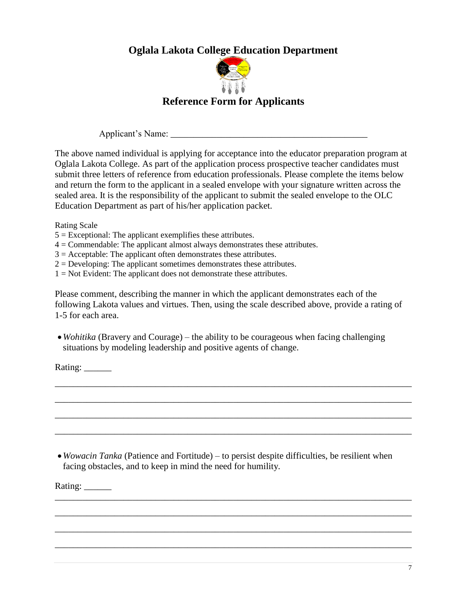# **Oglala Lakota College Education Department**



# **Reference Form for Applicants**

Applicant's Name: \_\_\_\_\_\_\_\_\_\_\_\_\_\_\_\_\_\_\_\_\_\_\_\_\_\_\_\_\_\_\_\_\_\_\_\_\_\_\_\_\_\_\_

The above named individual is applying for acceptance into the educator preparation program at Oglala Lakota College. As part of the application process prospective teacher candidates must submit three letters of reference from education professionals. Please complete the items below and return the form to the applicant in a sealed envelope with your signature written across the sealed area. It is the responsibility of the applicant to submit the sealed envelope to the OLC Education Department as part of his/her application packet.

Rating Scale

 $5 =$  Exceptional: The applicant exemplifies these attributes.

 $4 =$ Commendable: The applicant almost always demonstrates these attributes.

 $3 =$  Acceptable: The applicant often demonstrates these attributes.

 $2 =$  Developing: The applicant sometimes demonstrates these attributes.

 $1 = Not Evolution: The application does not demonstrate these attributes.$ 

Please comment, describing the manner in which the applicant demonstrates each of the following Lakota values and virtues. Then, using the scale described above, provide a rating of 1-5 for each area.

\_\_\_\_\_\_\_\_\_\_\_\_\_\_\_\_\_\_\_\_\_\_\_\_\_\_\_\_\_\_\_\_\_\_\_\_\_\_\_\_\_\_\_\_\_\_\_\_\_\_\_\_\_\_\_\_\_\_\_\_\_\_\_\_\_\_\_\_\_\_\_\_\_\_\_\_\_\_

\_\_\_\_\_\_\_\_\_\_\_\_\_\_\_\_\_\_\_\_\_\_\_\_\_\_\_\_\_\_\_\_\_\_\_\_\_\_\_\_\_\_\_\_\_\_\_\_\_\_\_\_\_\_\_\_\_\_\_\_\_\_\_\_\_\_\_\_\_\_\_\_\_\_\_\_\_\_

\_\_\_\_\_\_\_\_\_\_\_\_\_\_\_\_\_\_\_\_\_\_\_\_\_\_\_\_\_\_\_\_\_\_\_\_\_\_\_\_\_\_\_\_\_\_\_\_\_\_\_\_\_\_\_\_\_\_\_\_\_\_\_\_\_\_\_\_\_\_\_\_\_\_\_\_\_\_

\_\_\_\_\_\_\_\_\_\_\_\_\_\_\_\_\_\_\_\_\_\_\_\_\_\_\_\_\_\_\_\_\_\_\_\_\_\_\_\_\_\_\_\_\_\_\_\_\_\_\_\_\_\_\_\_\_\_\_\_\_\_\_\_\_\_\_\_\_\_\_\_\_\_\_\_\_\_

\_\_\_\_\_\_\_\_\_\_\_\_\_\_\_\_\_\_\_\_\_\_\_\_\_\_\_\_\_\_\_\_\_\_\_\_\_\_\_\_\_\_\_\_\_\_\_\_\_\_\_\_\_\_\_\_\_\_\_\_\_\_\_\_\_\_\_\_\_\_\_\_\_\_\_\_\_\_

\_\_\_\_\_\_\_\_\_\_\_\_\_\_\_\_\_\_\_\_\_\_\_\_\_\_\_\_\_\_\_\_\_\_\_\_\_\_\_\_\_\_\_\_\_\_\_\_\_\_\_\_\_\_\_\_\_\_\_\_\_\_\_\_\_\_\_\_\_\_\_\_\_\_\_\_\_\_

\_\_\_\_\_\_\_\_\_\_\_\_\_\_\_\_\_\_\_\_\_\_\_\_\_\_\_\_\_\_\_\_\_\_\_\_\_\_\_\_\_\_\_\_\_\_\_\_\_\_\_\_\_\_\_\_\_\_\_\_\_\_\_\_\_\_\_\_\_\_\_\_\_\_\_\_\_\_

\_\_\_\_\_\_\_\_\_\_\_\_\_\_\_\_\_\_\_\_\_\_\_\_\_\_\_\_\_\_\_\_\_\_\_\_\_\_\_\_\_\_\_\_\_\_\_\_\_\_\_\_\_\_\_\_\_\_\_\_\_\_\_\_\_\_\_\_\_\_\_\_\_\_\_\_\_\_

 *Wohitika* (Bravery and Courage) – the ability to be courageous when facing challenging situations by modeling leadership and positive agents of change.

Rating: \_\_\_\_\_\_\_\_

 *Wowacin Tanka* (Patience and Fortitude) – to persist despite difficulties, be resilient when facing obstacles, and to keep in mind the need for humility.

Rating: \_\_\_\_\_\_\_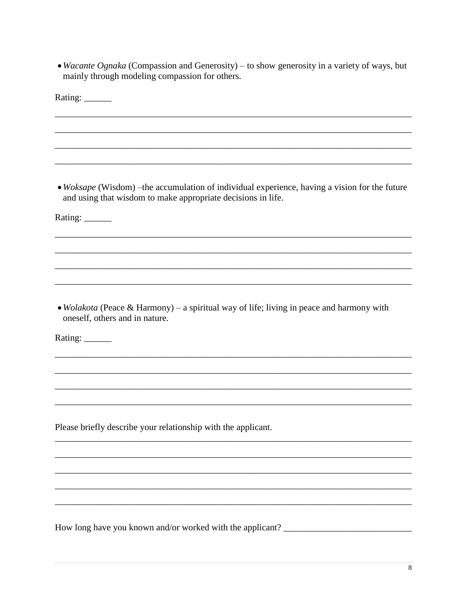• *Wacante Ognaka* (Compassion and Generosity) – to show generosity in a variety of ways, but mainly through modeling compassion for others.

| Rating: ______                                                                                                                                                                   |
|----------------------------------------------------------------------------------------------------------------------------------------------------------------------------------|
|                                                                                                                                                                                  |
|                                                                                                                                                                                  |
|                                                                                                                                                                                  |
| • Woksape (Wisdom) – the accumulation of individual experience, having a vision for the future<br>and using that wisdom to make appropriate decisions in life.<br>Rating: ______ |
|                                                                                                                                                                                  |
|                                                                                                                                                                                  |
|                                                                                                                                                                                  |
| • Wolakota (Peace & Harmony) – a spiritual way of life; living in peace and harmony with<br>oneself, others and in nature.<br>Rating: ______                                     |
|                                                                                                                                                                                  |
|                                                                                                                                                                                  |
|                                                                                                                                                                                  |
| Please briefly describe your relationship with the applicant.                                                                                                                    |
|                                                                                                                                                                                  |
|                                                                                                                                                                                  |
|                                                                                                                                                                                  |
|                                                                                                                                                                                  |
| How long have you known and/or worked with the applicant? _                                                                                                                      |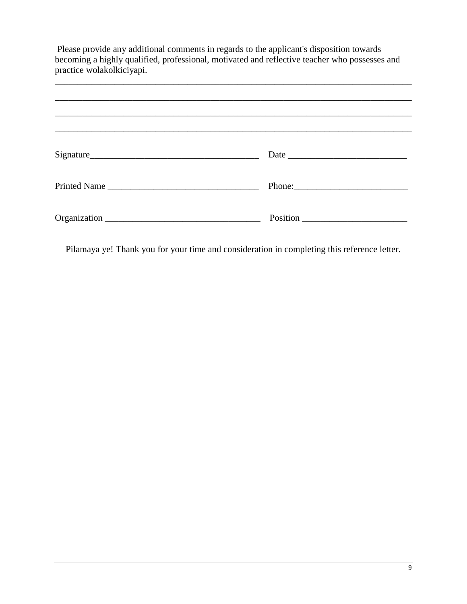| Please provide any additional comments in regards to the applicant's disposition towards<br>becoming a highly qualified, professional, motivated and reflective teacher who possesses and<br>practice wolakolkiciyapi. |  |  |
|------------------------------------------------------------------------------------------------------------------------------------------------------------------------------------------------------------------------|--|--|
|                                                                                                                                                                                                                        |  |  |
|                                                                                                                                                                                                                        |  |  |
| Signature                                                                                                                                                                                                              |  |  |
|                                                                                                                                                                                                                        |  |  |
|                                                                                                                                                                                                                        |  |  |

Pilamaya ye! Thank you for your time and consideration in completing this reference letter.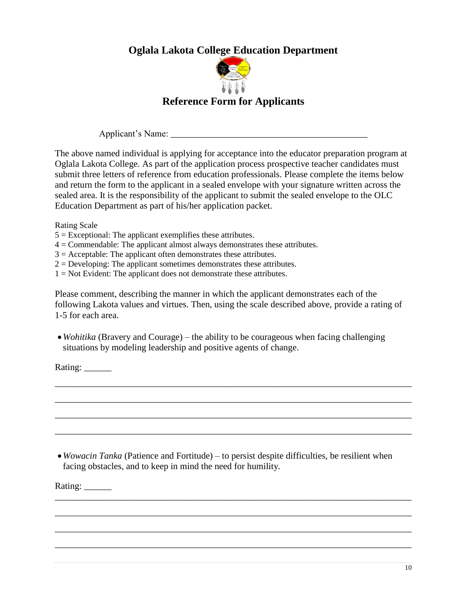# **Oglala Lakota College Education Department**



# **Reference Form for Applicants**

Applicant's Name: \_\_\_\_\_\_\_\_\_\_\_\_\_\_\_\_\_\_\_\_\_\_\_\_\_\_\_\_\_\_\_\_\_\_\_\_\_\_\_\_\_\_\_

The above named individual is applying for acceptance into the educator preparation program at Oglala Lakota College. As part of the application process prospective teacher candidates must submit three letters of reference from education professionals. Please complete the items below and return the form to the applicant in a sealed envelope with your signature written across the sealed area. It is the responsibility of the applicant to submit the sealed envelope to the OLC Education Department as part of his/her application packet.

Rating Scale

- $5 =$  Exceptional: The applicant exemplifies these attributes.
- $4 =$ Commendable: The applicant almost always demonstrates these attributes.
- $3 =$  Acceptable: The applicant often demonstrates these attributes.
- $2 =$  Developing: The applicant sometimes demonstrates these attributes.
- $1 = Not Evolution: The application does not demonstrate these attributes.$

Please comment, describing the manner in which the applicant demonstrates each of the following Lakota values and virtues. Then, using the scale described above, provide a rating of 1-5 for each area.

\_\_\_\_\_\_\_\_\_\_\_\_\_\_\_\_\_\_\_\_\_\_\_\_\_\_\_\_\_\_\_\_\_\_\_\_\_\_\_\_\_\_\_\_\_\_\_\_\_\_\_\_\_\_\_\_\_\_\_\_\_\_\_\_\_\_\_\_\_\_\_\_\_\_\_\_\_\_

\_\_\_\_\_\_\_\_\_\_\_\_\_\_\_\_\_\_\_\_\_\_\_\_\_\_\_\_\_\_\_\_\_\_\_\_\_\_\_\_\_\_\_\_\_\_\_\_\_\_\_\_\_\_\_\_\_\_\_\_\_\_\_\_\_\_\_\_\_\_\_\_\_\_\_\_\_\_

\_\_\_\_\_\_\_\_\_\_\_\_\_\_\_\_\_\_\_\_\_\_\_\_\_\_\_\_\_\_\_\_\_\_\_\_\_\_\_\_\_\_\_\_\_\_\_\_\_\_\_\_\_\_\_\_\_\_\_\_\_\_\_\_\_\_\_\_\_\_\_\_\_\_\_\_\_\_

\_\_\_\_\_\_\_\_\_\_\_\_\_\_\_\_\_\_\_\_\_\_\_\_\_\_\_\_\_\_\_\_\_\_\_\_\_\_\_\_\_\_\_\_\_\_\_\_\_\_\_\_\_\_\_\_\_\_\_\_\_\_\_\_\_\_\_\_\_\_\_\_\_\_\_\_\_\_

\_\_\_\_\_\_\_\_\_\_\_\_\_\_\_\_\_\_\_\_\_\_\_\_\_\_\_\_\_\_\_\_\_\_\_\_\_\_\_\_\_\_\_\_\_\_\_\_\_\_\_\_\_\_\_\_\_\_\_\_\_\_\_\_\_\_\_\_\_\_\_\_\_\_\_\_\_\_

\_\_\_\_\_\_\_\_\_\_\_\_\_\_\_\_\_\_\_\_\_\_\_\_\_\_\_\_\_\_\_\_\_\_\_\_\_\_\_\_\_\_\_\_\_\_\_\_\_\_\_\_\_\_\_\_\_\_\_\_\_\_\_\_\_\_\_\_\_\_\_\_\_\_\_\_\_\_

\_\_\_\_\_\_\_\_\_\_\_\_\_\_\_\_\_\_\_\_\_\_\_\_\_\_\_\_\_\_\_\_\_\_\_\_\_\_\_\_\_\_\_\_\_\_\_\_\_\_\_\_\_\_\_\_\_\_\_\_\_\_\_\_\_\_\_\_\_\_\_\_\_\_\_\_\_\_

\_\_\_\_\_\_\_\_\_\_\_\_\_\_\_\_\_\_\_\_\_\_\_\_\_\_\_\_\_\_\_\_\_\_\_\_\_\_\_\_\_\_\_\_\_\_\_\_\_\_\_\_\_\_\_\_\_\_\_\_\_\_\_\_\_\_\_\_\_\_\_\_\_\_\_\_\_\_

 *Wohitika* (Bravery and Courage) – the ability to be courageous when facing challenging situations by modeling leadership and positive agents of change.

Rating: \_\_\_\_\_\_\_\_

 *Wowacin Tanka* (Patience and Fortitude) – to persist despite difficulties, be resilient when facing obstacles, and to keep in mind the need for humility.

Rating: \_\_\_\_\_\_\_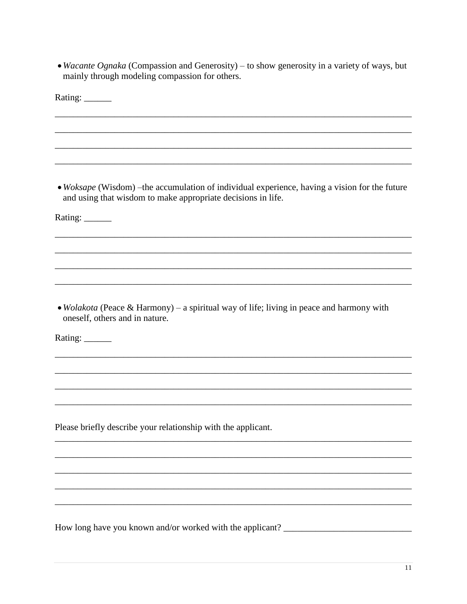• Wacante Ognaka (Compassion and Generosity) – to show generosity in a variety of ways, but mainly through modeling compassion for others.

| Rating: ______                                                                                                                                                 |
|----------------------------------------------------------------------------------------------------------------------------------------------------------------|
|                                                                                                                                                                |
|                                                                                                                                                                |
|                                                                                                                                                                |
| • Woksape (Wisdom) – the accumulation of individual experience, having a vision for the future<br>and using that wisdom to make appropriate decisions in life. |
| Rating: ______                                                                                                                                                 |
|                                                                                                                                                                |
|                                                                                                                                                                |
|                                                                                                                                                                |
| • Wolakota (Peace & Harmony) – a spiritual way of life; living in peace and harmony with<br>oneself, others and in nature.<br>Rating: ______                   |
|                                                                                                                                                                |
|                                                                                                                                                                |
|                                                                                                                                                                |
| Please briefly describe your relationship with the applicant.                                                                                                  |
|                                                                                                                                                                |
|                                                                                                                                                                |
|                                                                                                                                                                |
|                                                                                                                                                                |
| How long have you known and/or worked with the applicant? _______________________                                                                              |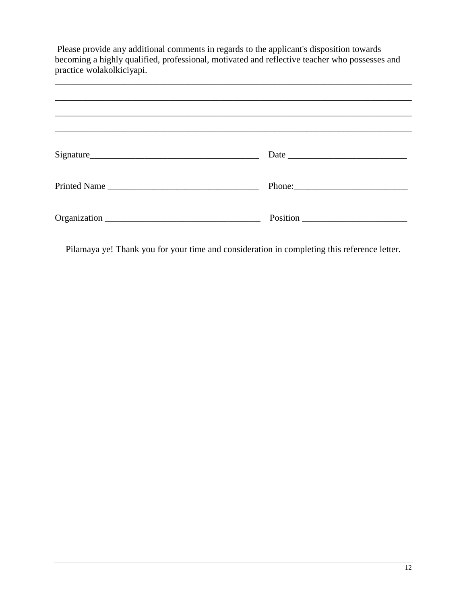| Please provide any additional comments in regards to the applicant's disposition towards<br>becoming a highly qualified, professional, motivated and reflective teacher who possesses and<br>practice wolakolkiciyapi. |  |  |
|------------------------------------------------------------------------------------------------------------------------------------------------------------------------------------------------------------------------|--|--|
|                                                                                                                                                                                                                        |  |  |
|                                                                                                                                                                                                                        |  |  |
| Signature                                                                                                                                                                                                              |  |  |
| Printed Name                                                                                                                                                                                                           |  |  |
|                                                                                                                                                                                                                        |  |  |

Pilamaya ye! Thank you for your time and consideration in completing this reference letter.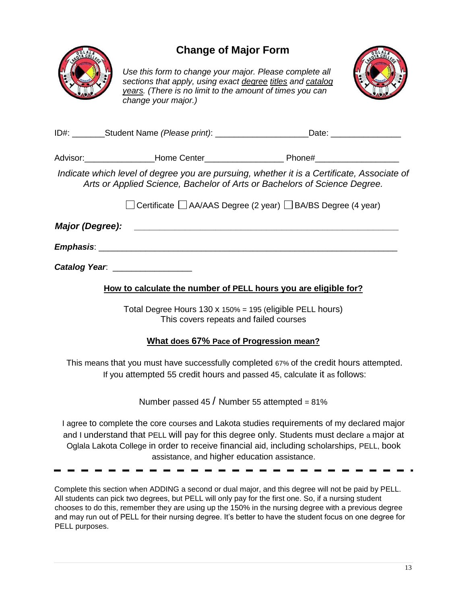

# **Change of Major Form**

*Use this form to change your major. Please complete all sections that apply, using exact degree titles and catalog years. (There is no limit to the amount of times you can change your major.)* 



|                 |                                 | Phone#_____________________                                                                                                                                             |
|-----------------|---------------------------------|-------------------------------------------------------------------------------------------------------------------------------------------------------------------------|
|                 |                                 | Indicate which level of degree you are pursuing, whether it is a Certificate, Associate of<br>Arts or Applied Science, Bachelor of Arts or Bachelors of Science Degree. |
|                 |                                 | □ Certificate □ AA/AAS Degree (2 year) □ BA/BS Degree (4 year)                                                                                                          |
| Major (Degree): |                                 |                                                                                                                                                                         |
|                 |                                 |                                                                                                                                                                         |
|                 | Catalog Year. _________________ |                                                                                                                                                                         |

**How to calculate the number of PELL hours you are eligible for?**

Total Degree Hours 130 x 150% = 195 (eligible PELL hours) This covers repeats and failed courses

#### **What does 67% Pace of Progression mean?**

This means that you must have successfully completed 67% of the credit hours attempted. If you attempted 55 credit hours and passed 45, calculate it as follows:

Number passed  $45/$  Number 55 attempted = 81%

I agree to complete the core courses and Lakota studies requirements of my declared major and I understand that PELL will pay for this degree only. Students must declare a major at Oglala Lakota College in order to receive financial aid, including scholarships, PELL, book assistance, and higher education assistance.

Complete this section when ADDING a second or dual major, and this degree will not be paid by PELL. All students can pick two degrees, but PELL will only pay for the first one. So, if a nursing student chooses to do this, remember they are using up the 150% in the nursing degree with a previous degree and may run out of PELL for their nursing degree. It's better to have the student focus on one degree for PELL purposes.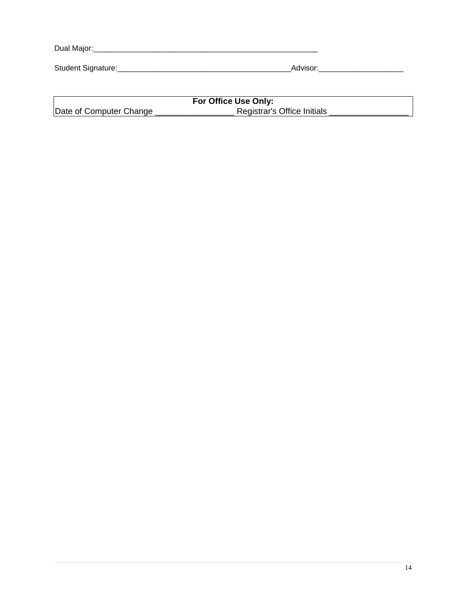| Dual Major:        |          |  |
|--------------------|----------|--|
| Student Signature: | Advisor: |  |

|                         | For Office Use Only:        |
|-------------------------|-----------------------------|
| Date of Computer Change | Registrar's Office Initials |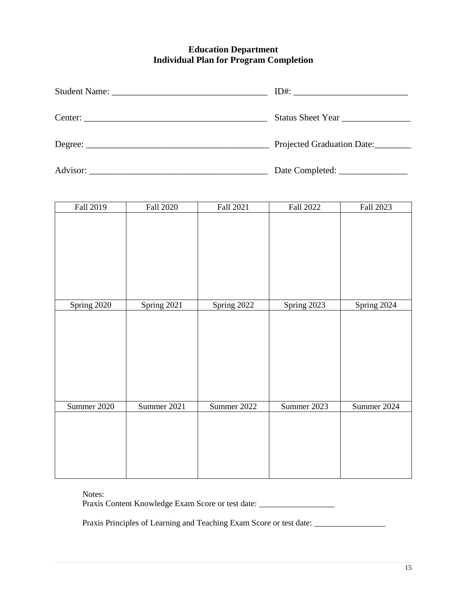#### **Education Department Individual Plan for Program Completion**

| Center: | Status Sheet Year          |
|---------|----------------------------|
|         | Projected Graduation Date: |
|         |                            |

| Fall 2019   | <b>Fall 2020</b> | Fall 2021   | Fall 2022   | Fall 2023   |
|-------------|------------------|-------------|-------------|-------------|
|             |                  |             |             |             |
|             |                  |             |             |             |
|             |                  |             |             |             |
| Spring 2020 | Spring 2021      | Spring 2022 | Spring 2023 | Spring 2024 |
|             |                  |             |             |             |
| Summer 2020 | Summer 2021      | Summer 2022 | Summer 2023 | Summer 2024 |
|             |                  |             |             |             |

Notes:

Praxis Content Knowledge Exam Score or test date: \_\_\_\_\_\_\_\_\_\_\_\_\_\_\_\_\_\_\_\_\_\_\_\_\_\_\_\_\_\_

Praxis Principles of Learning and Teaching Exam Score or test date: \_\_\_\_\_\_\_\_\_\_\_\_\_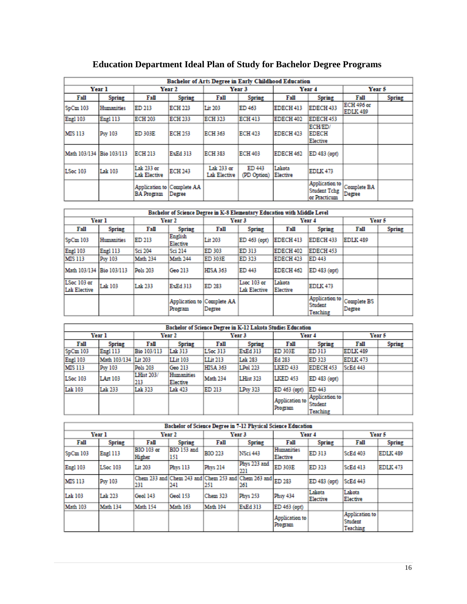|                          | <b>Bachelor of Arts Degree in Early Childhood Education</b> |                                                 |                |                                   |                       |                      |                                                       |                                      |               |
|--------------------------|-------------------------------------------------------------|-------------------------------------------------|----------------|-----------------------------------|-----------------------|----------------------|-------------------------------------------------------|--------------------------------------|---------------|
|                          | Year 1                                                      |                                                 | Year 2         | Year <sub>3</sub>                 |                       | Year 4               |                                                       | Year 5                               |               |
| Fall                     | Spring                                                      | Fall                                            | <b>Spring</b>  | Fall                              | <b>Spring</b>         | Fall                 | <b>Spring</b>                                         | Fall                                 | <b>Spring</b> |
| SpCm 103                 | Humanities                                                  | ED 213                                          | <b>ECH 223</b> | Lit 203                           | ED 463                | EDECH 413            | EDECH 433                                             | <b>ECH 496 or</b><br><b>EDLK 489</b> |               |
| <b>Engl 103</b>          | Engl 113                                                    | <b>ECH 203</b>                                  | <b>ECH 233</b> | ECH 323                           | <b>ECH 413</b>        | EDECH 402            | EDECH 453                                             |                                      |               |
| <b>MIS 113</b>           | Psy 103                                                     | <b>ED 303E</b>                                  | <b>ECH 253</b> | ECH 363                           | <b>ECH 423</b>        | EDECH <sub>423</sub> | ECH/ED/<br><b>EDECH</b><br>Elective                   |                                      |               |
| Math 103/134 Bio 103/113 |                                                             | <b>ECH 213</b>                                  | ExEd 313       | ECH 383                           | <b>ECH 403</b>        | EDECH 462            | ED 483 (opt)                                          |                                      |               |
| LSoc 103                 | <b>Lak 103</b>                                              | Lak 233 or<br><b>Lak Elective</b>               | <b>ECH 243</b> | Lak 233 or<br><b>Lak Elective</b> | ED 443<br>(PD Option) | Lakota<br>Elective   | <b>EDLK 473</b>                                       |                                      |               |
|                          |                                                             | Application to Complete AA<br><b>BA Program</b> | Degree         |                                   |                       |                      | Application to<br><b>Student Tchg</b><br>or Practicum | <b>Complete BA</b><br>Degree         |               |

# **Education Department Ideal Plan of Study for Bachelor Degree Programs**

| Bachelor of Science Degree in K-8 Elementary Education with Middle Level |               |          |                     |                                      |                                    |                    |                                              |                              |               |
|--------------------------------------------------------------------------|---------------|----------|---------------------|--------------------------------------|------------------------------------|--------------------|----------------------------------------------|------------------------------|---------------|
|                                                                          | Year 1        |          | Year 2              | Year <sub>3</sub>                    |                                    | Year 4             |                                              | Year 5                       |               |
| Fall                                                                     | <b>Spring</b> | Fall     | <b>Spring</b>       | Fall                                 | <b>Spring</b>                      | Fall               | Spring                                       | Fall                         | <b>Spring</b> |
| SpCm 103                                                                 | Humanities    | ED 213   | English<br>Elective | Lit 203                              | ED 463 (opt)                       | EDECH 413          | EDECH 433                                    | <b>EDLK 489</b>              |               |
| <b>Engl 103</b>                                                          | Engl 113      | Sci 204  | Sci 214             | ED 303                               | ED 313                             | EDECH 402          | EDECH 453                                    |                              |               |
| <b>MIS 113</b>                                                           | Psy 103       | Math 234 | <b>Math 244</b>     | ED 303E                              | ED 323                             | EDECH 423          | ED 443                                       |                              |               |
| Math 103/134                                                             | Bio 103/113   | Pols 203 | Geo 213             | <b>HISA 363</b>                      | ED 443                             | EDECH 462          | ED 483 (opt)                                 |                              |               |
| LSoc 103 or<br>Lak Elective                                              | Lak 103       | Lak 233  | <b>ExEd 313</b>     | ED 283                               | Lsoc 103 or<br><b>Lak Elective</b> | Lakota<br>Elective | <b>EDLK 473</b>                              |                              |               |
|                                                                          |               |          | Program             | Application to Complete AA<br>Degree |                                    |                    | Application to<br>Student<br><b>Teaching</b> | <b>Complete BS</b><br>Degree |               |

| Bachelor of Science Degree in K-12 Lakota Studies Education |                      |                          |                        |                 |                 |                           |                                              |                 |        |
|-------------------------------------------------------------|----------------------|--------------------------|------------------------|-----------------|-----------------|---------------------------|----------------------------------------------|-----------------|--------|
|                                                             | Year 1               |                          | Year 2                 | Year 3          |                 | Year 4                    |                                              | Year 5          |        |
| Fall                                                        | Spring               | Fall                     | <b>Spring</b>          | Fall            | Spring          | Fall                      | Spring                                       | Fall            | Spring |
| SpCm103                                                     | Engl 113             | Bio 103/113              | Lak 313                | LSoc 313        | <b>ExEd 313</b> | ED 303E                   | ED 313                                       | <b>EDLK 489</b> |        |
| Engl 103                                                    | Math 103/134 Lit 203 |                          | <b>LLit 103</b>        | LLit 213        | Lak 283         | Ed 283                    | ED 323                                       | EDLK 473        |        |
| <b>MIS 113</b>                                              | Psy 103              | Pols 203                 | Geo 213                | <b>HISA 363</b> | <b>LPol 223</b> | <b>LKED 433</b>           | EDECH 453                                    | <b>ScEd 443</b> |        |
| LSoc 103                                                    | LArt 103             | <b>LHist 203/</b><br>213 | Humanities<br>Elective | Math 234        | LHist 323       | <b>LKED 453</b>           | ED 483 (opt)                                 |                 |        |
| Lak 103                                                     | Lak 233              | Lak 323                  | Lak 423                | ED 213          | <b>LPsy 323</b> | ED 463 (opt)              | ED 443                                       |                 |        |
|                                                             |                      |                          |                        |                 |                 | Application to<br>Program | Application to<br>Student<br><b>Teaching</b> |                 |        |

| Bachelor of Science Degree in 7-12 Physical Science Education |                 |                                                                   |                    |                   |                     |                           |                    |                                       |                 |
|---------------------------------------------------------------|-----------------|-------------------------------------------------------------------|--------------------|-------------------|---------------------|---------------------------|--------------------|---------------------------------------|-----------------|
|                                                               | Year 1          |                                                                   | Year 2             | Year <sub>3</sub> |                     | Year 4                    |                    | Year 5                                |                 |
| Fall                                                          | <b>Spring</b>   | Fall                                                              | <b>Spring</b>      | Fall              | <b>Spring</b>       | Fall                      | <b>Spring</b>      | Fall                                  | <b>Spring</b>   |
| SpCm 103                                                      | Engl 113        | <b>BIO 103 or</b><br>Higher                                       | BIO 153 and<br>151 | BIO 223           | NSci 443            | Humanities<br>Elective    | ED 313             | <b>ScEd 403</b>                       | <b>EDLK 489</b> |
| <b>Engl 103</b>                                               | <b>LSoc 103</b> | Lit 203                                                           | Phys 113           | <b>Phys 214</b>   | Phys 223 and<br>221 | <b>ED 303E</b>            | ED 323             | <b>ScEd 413</b>                       | EDLK 473        |
| <b>MIS 113</b>                                                | Psy 103         | Chem 233 and Chem 243 and Chem 253 and Chem 263 and ED 283<br>231 | 241                | 251               | 261                 |                           | ED 483 (opt)       | <b>ScEd 443</b>                       |                 |
| Lak 103                                                       | Lak 223         | Geol 143                                                          | <b>Geol 153</b>    | Chem 323          | <b>Phys 253</b>     | <b>Phsy 434</b>           | Lakota<br>Elective | Lakota<br>Elective                    |                 |
| Math 103                                                      | Math 134        | Math 154                                                          | <b>Math 163</b>    | Math 194          | <b>ExEd 313</b>     | ED 463 (opt)              |                    |                                       |                 |
|                                                               |                 |                                                                   |                    |                   |                     | Application to<br>Program |                    | Application to<br>Student<br>Teaching |                 |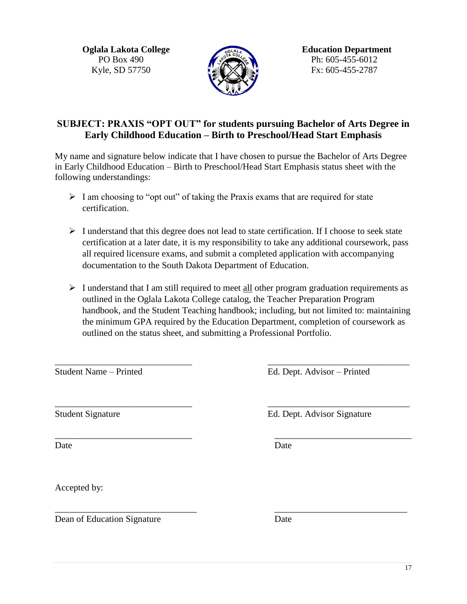Kyle, SD 57750  $\sqrt{24}$   $\sqrt{24}$   $\sqrt{3}$   $\sqrt{3}$  Fx: 605-455-2787



**Oglala Lakota College Education Department** PO Box 490 Ph: 605-455-6012

## **SUBJECT: PRAXIS "OPT OUT" for students pursuing Bachelor of Arts Degree in Early Childhood Education – Birth to Preschool/Head Start Emphasis**

My name and signature below indicate that I have chosen to pursue the Bachelor of Arts Degree in Early Childhood Education – Birth to Preschool/Head Start Emphasis status sheet with the following understandings:

- $\triangleright$  I am choosing to "opt out" of taking the Praxis exams that are required for state certification.
- $\triangleright$  I understand that this degree does not lead to state certification. If I choose to seek state certification at a later date, it is my responsibility to take any additional coursework, pass all required licensure exams, and submit a completed application with accompanying documentation to the South Dakota Department of Education.
- $\triangleright$  I understand that I am still required to meet all other program graduation requirements as outlined in the Oglala Lakota College catalog, the Teacher Preparation Program handbook, and the Student Teaching handbook; including, but not limited to: maintaining the minimum GPA required by the Education Department, completion of coursework as outlined on the status sheet, and submitting a Professional Portfolio.

\_\_\_\_\_\_\_\_\_\_\_\_\_\_\_\_\_\_\_\_\_\_\_\_\_\_\_\_\_\_ \_\_\_\_\_\_\_\_\_\_\_\_\_\_\_\_\_\_\_\_\_\_\_\_\_\_\_\_\_\_\_

Student Name – Printed Ed. Dept. Advisor – Printed

 $\overline{\phantom{a}}$  , and the contribution of the contribution of the contribution of the contribution of the contribution of the contribution of the contribution of the contribution of the contribution of the contribution of the Student Signature Ed. Dept. Advisor Signature

\_\_\_\_\_\_\_\_\_\_\_\_\_\_\_\_\_\_\_\_\_\_\_\_\_\_\_\_\_\_ \_\_\_\_\_\_\_\_\_\_\_\_\_\_\_\_\_\_\_\_\_\_\_\_\_\_\_\_\_\_ Date Date Date

Accepted by:

 $\overline{\phantom{a}}$  , and the contribution of the contribution of the contribution of the contribution of the contribution of the contribution of the contribution of the contribution of the contribution of the contribution of the Dean of Education Signature Date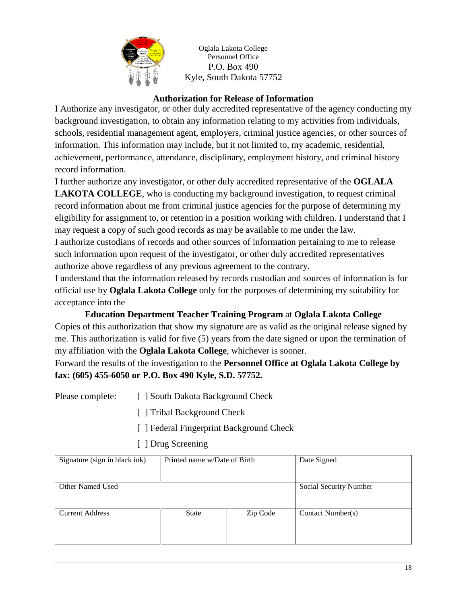

Oglala Lakota College Personnel Office P.O. Box 490 Kyle, South Dakota 57752

### **Authorization for Release of Information**

I Authorize any investigator, or other duly accredited representative of the agency conducting my background investigation, to obtain any information relating to my activities from individuals, schools, residential management agent, employers, criminal justice agencies, or other sources of information. This information may include, but it not limited to, my academic, residential, achievement, performance, attendance, disciplinary, employment history, and criminal history record information.

I further authorize any investigator, or other duly accredited representative of the **OGLALA LAKOTA COLLEGE**, who is conducting my background investigation, to request criminal record information about me from criminal justice agencies for the purpose of determining my eligibility for assignment to, or retention in a position working with children. I understand that I may request a copy of such good records as may be available to me under the law. I authorize custodians of records and other sources of information pertaining to me to release

such information upon request of the investigator, or other duly accredited representatives authorize above regardless of any previous agreement to the contrary.

I understand that the information released by records custodian and sources of information is for official use by **Oglala Lakota College** only for the purposes of determining my suitability for acceptance into the

**Education Department Teacher Training Program** at **Oglala Lakota College** Copies of this authorization that show my signature are as valid as the original release signed by me. This authorization is valid for five (5) years from the date signed or upon the termination of my affiliation with the **Oglala Lakota College**, whichever is sooner.

Forward the results of the investigation to the **Personnel Office at Oglala Lakota College by fax: (605) 455-6050 or P.O. Box 490 Kyle, S.D. 57752.**

- Please complete: [ ] South Dakota Background Check
	- [ ] Tribal Background Check
	- [ ] Federal Fingerprint Background Check
	- [ ] Drug Screening

| Signature (sign in black ink) | Printed name w/Date of Birth |          | Date Signed            |
|-------------------------------|------------------------------|----------|------------------------|
|                               |                              |          |                        |
| Other Named Used              |                              |          | Social Security Number |
|                               |                              |          |                        |
| <b>Current Address</b>        | <b>State</b>                 | Zip Code | Contact Number(s)      |
|                               |                              |          |                        |
|                               |                              |          |                        |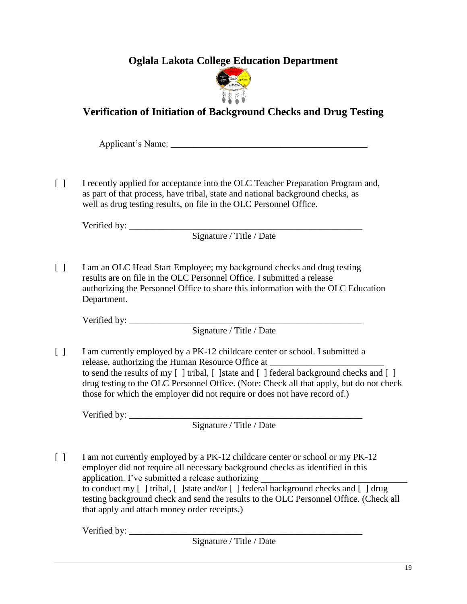**Oglala Lakota College Education Department**



# **Verification of Initiation of Background Checks and Drug Testing**

Applicant's Name: \_\_\_\_\_\_\_\_\_\_\_\_\_\_\_\_\_\_\_\_\_\_\_\_\_\_\_\_\_\_\_\_\_\_\_\_\_\_\_\_\_\_\_

[ ] I recently applied for acceptance into the OLC Teacher Preparation Program and, as part of that process, have tribal, state and national background checks, as well as drug testing results, on file in the OLC Personnel Office.

Verified by: \_\_\_\_\_\_\_\_\_\_\_\_\_\_\_\_\_\_\_\_\_\_\_\_\_\_\_\_\_\_\_\_\_\_\_\_\_\_\_\_\_\_\_\_\_\_\_\_\_\_\_

Signature / Title / Date

[ ] I am an OLC Head Start Employee; my background checks and drug testing results are on file in the OLC Personnel Office. I submitted a release authorizing the Personnel Office to share this information with the OLC Education Department.

Verified by:

Signature / Title / Date

[ ] I am currently employed by a PK-12 childcare center or school. I submitted a release, authorizing the Human Resource Office at to send the results of my  $\lceil \cdot \rceil$  tribal,  $\lceil \cdot \rceil$  state and  $\lceil \cdot \rceil$  federal background checks and  $\lceil \cdot \rceil$ drug testing to the OLC Personnel Office. (Note: Check all that apply, but do not check those for which the employer did not require or does not have record of.)

Verified by:

Signature / Title / Date

[ ] I am not currently employed by a PK-12 childcare center or school or my PK-12 employer did not require all necessary background checks as identified in this application. I've submitted a release authorizing to conduct my [ ] tribal, [ ]state and/or [ ] federal background checks and [ ] drug testing background check and send the results to the OLC Personnel Office. (Check all that apply and attach money order receipts.)

Verified by:

Signature / Title / Date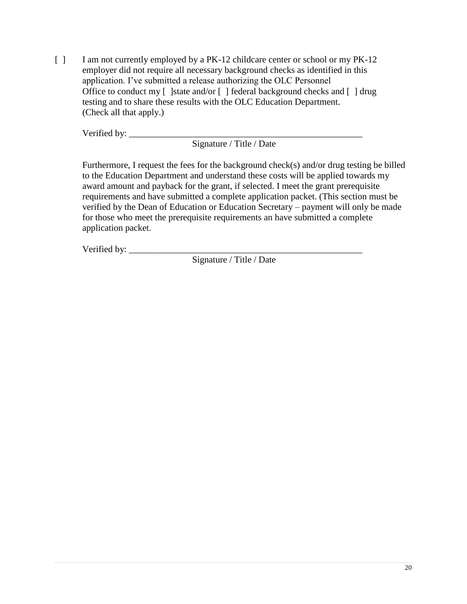[ ] I am not currently employed by a PK-12 childcare center or school or my PK-12 employer did not require all necessary background checks as identified in this application. I've submitted a release authorizing the OLC Personnel Office to conduct my [ ]state and/or [ ] federal background checks and [ ] drug testing and to share these results with the OLC Education Department. (Check all that apply.)

Verified by: \_\_\_\_\_\_\_\_\_\_\_\_\_\_\_\_\_\_\_\_\_\_\_\_\_\_\_\_\_\_\_\_\_\_\_\_\_\_\_\_\_\_\_\_\_\_\_\_\_\_\_

Signature / Title / Date

Furthermore, I request the fees for the background check(s) and/or drug testing be billed to the Education Department and understand these costs will be applied towards my award amount and payback for the grant, if selected. I meet the grant prerequisite requirements and have submitted a complete application packet. (This section must be verified by the Dean of Education or Education Secretary – payment will only be made for those who meet the prerequisite requirements an have submitted a complete application packet.

Verified by: \_\_\_\_\_\_\_\_\_\_\_\_\_\_\_\_\_\_\_\_\_\_\_\_\_\_\_\_\_\_\_\_\_\_\_\_\_\_\_\_\_\_\_\_\_\_\_\_\_\_\_

Signature / Title / Date